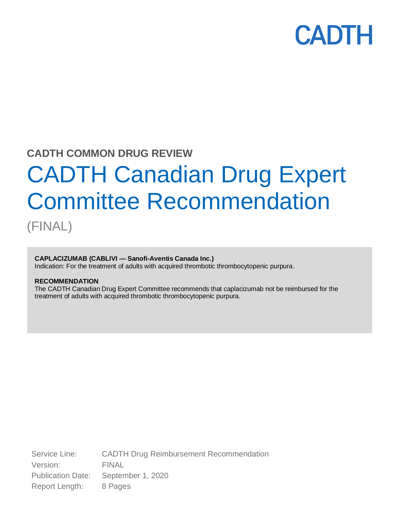# **CADTH**

# **CADTH COMMON DRUG REVIEW**

# CADTH Canadian Drug Expert Committee Recommendation

(FINAL)

# **CAPLACIZUMAB (CABLIVI — Sanofi-Aventis Canada Inc.)**

Indication: For the treatment of adults with acquired thrombotic thrombocytopenic purpura.

### **RECOMMENDATION**

The CADTH Canadian Drug Expert Committee recommends that caplacizumab not be reimbursed for the treatment of adults with acquired thrombotic thrombocytopenic purpura.

Service Line: CADTH Drug Reimbursement Recommendation Version: FINAL Publication Date: September 1, 2020 Report Length: 8 Pages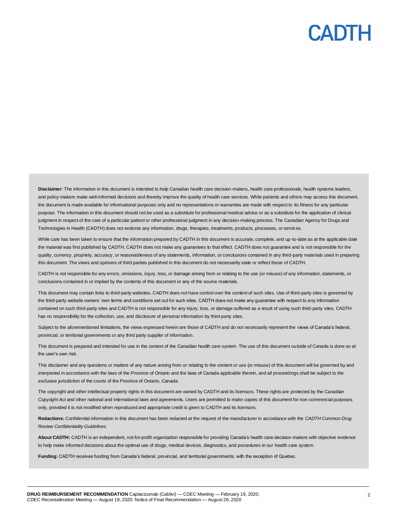# CADTI

Disclaimer: The information in this document is intended to help Canadian health care decision-makers, health care professionals, health systems leaders, and policy-makers make well-informed decisions and thereby improve the quality of health care services. While patients and others may access this document, the document is made available for informational purposes only and no representations or warranties are made with respect to its fitness for any particular purpose. The information in this document should not be used as a substitute for professional medical advice or as a substitute for the application of clinical judgment in respect of the care of a particular patient or other professional judgment in any decision-making process. The Canadian Agency for Drugs and Technologies in Health (CADTH) does not endorse any information, drugs, therapies, treatments, products, processes, or services.

While care has been taken to ensure that the information prepared by CADTH in this document is accurate, complete, and up-to-date as at the applicable date the material was first published by CADTH, CADTH does not make any guarantees to that effect. CADTH does not guarantee and is not responsible for the quality, currency, propriety, accuracy, or reasonableness of any statements, information, or conclusions contained in any third-party materials used in preparing this document. The views and opinions of third parties published in this document do not necessarily state or reflect those of CADTH.

CADTH is not responsible for any errors, omissions, injury, loss, or damage arising from or relating to the use (or misuse) of any information, statements, or conclusions contained in or implied by the contents of this document or any of the source materials.

This document may contain links to third-party websites. CADTH does not have control over the content of such sites. Use of third-party sites is governed by the third-party website owners' own terms and conditions set out for such sites. CADTH does not make any guarantee with respect to any information contained on such third-party sites and CADTH is not responsible for any injury, loss, or damage suffered as a result of using such third-party sites. CADTH has no responsibility for the collection, use, and disclosure of personal information by third-party sites.

Subject to the aforementioned limitations, the views expressed herein are those of CADTH and do not necessarily represent the views of Canada's federal, provincial, or territorial governments or any third party supplier of information.

This document is prepared and intended for use in the context of the Canadian health care system. The use of this document outside of Canada is done so at the user's own risk.

This disclaimer and any questions or matters of any nature arising from or relating to the content or use (or misuse) of this document will be governed by and interpreted in accordance with the laws of the Province of Ontario and the laws of Canada applicable therein, and all proceedings shall be subject to the exclusive jurisdiction of the courts of the Province of Ontario, Canada.

The copyright and other intellectual property rights in this document are owned by CADTH and its licensors. These rights are protected by the Canadian *Copyright Act* and other national and international laws and agreements. Users are permitted to make copies of this document for non-commercial purposes only, provided it is not modified when reproduced and appropriate credit is given to CADTH and its licensors.

**Redactions:** Confidential information in this document has been redacted at the request of the manufacturer in accordance with the *CADTH Common Drug Review Confidentiality Guidelines.*

**About CADTH:** CADTH is an independent, not-for-profit organization responsible for providing Canada's health care decision-makers with objective evidence to help make informed decisions about the optimal use of drugs, medical devices, diagnostics, and procedures in our health care system.

**Funding:** CADTH receives funding from Canada's federal, provincial, and territorial governments, with the exception of Quebec.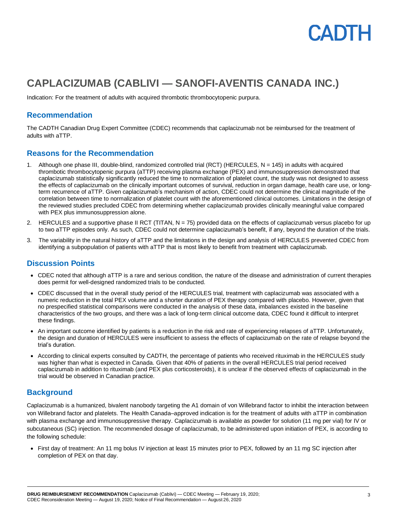

# **CAPLACIZUMAB (CABLIVI — SANOFI-AVENTIS CANADA INC.)**

Indication: For the treatment of adults with acquired thrombotic thrombocytopenic purpura.

### **Recommendation**

The CADTH Canadian Drug Expert Committee (CDEC) recommends that caplacizumab not be reimbursed for the treatment of adults with aTTP.

# **Reasons for the Recommendation**

- 1. Although one phase III, double-blind, randomized controlled trial (RCT) (HERCULES, N = 145) in adults with acquired thrombotic thrombocytopenic purpura (aTTP) receiving plasma exchange (PEX) and immunosuppression demonstrated that caplacizumab statistically significantly reduced the time to normalization of platelet count, the study was not designed to assess the effects of caplacizumab on the clinically important outcomes of survival, reduction in organ damage, health care use, or longterm recurrence of aTTP. Given caplacizumab's mechanism of action, CDEC could not determine the clinical magnitude of the correlation between time to normalization of platelet count with the aforementioned clinical outcomes. Limitations in the design of the reviewed studies precluded CDEC from determining whether caplacizumab provides clinically meaningful value compared with PEX plus immunosuppression alone.
- 2. HERCULES and a supportive phase II RCT (TITAN, N = 75) provided data on the effects of caplacizumab versus placebo for up to two aTTP episodes only. As such, CDEC could not determine caplacizumab's benefit, if any, beyond the duration of the trials.
- 3. The variability in the natural history of aTTP and the limitations in the design and analysis of HERCULES prevented CDEC from identifying a subpopulation of patients with aTTP that is most likely to benefit from treatment with caplacizumab.

# **Discussion Points**

- CDEC noted that although aTTP is a rare and serious condition, the nature of the disease and administration of current therapies does permit for well-designed randomized trials to be conducted.
- CDEC discussed that in the overall study period of the HERCULES trial, treatment with caplacizumab was associated with a numeric reduction in the total PEX volume and a shorter duration of PEX therapy compared with placebo. However, given that no prespecified statistical comparisons were conducted in the analysis of these data, imbalances existed in the baseline characteristics of the two groups, and there was a lack of long-term clinical outcome data, CDEC found it difficult to interpret these findings.
- An important outcome identified by patients is a reduction in the risk and rate of experiencing relapses of aTTP. Unfortunately, the design and duration of HERCULES were insufficient to assess the effects of caplacizumab on the rate of relapse beyond the trial's duration.
- According to clinical experts consulted by CADTH, the percentage of patients who received rituximab in the HERCULES study was higher than what is expected in Canada. Given that 40% of patients in the overall HERCULES trial period received caplacizumab in addition to rituximab (and PEX plus corticosteroids), it is unclear if the observed effects of caplacizumab in the trial would be observed in Canadian practice.

# **Background**

Caplacizumab is a humanized, bivalent nanobody targeting the A1 domain of von Willebrand factor to inhibit the interaction between von Willebrand factor and platelets. The Health Canada–approved indication is for the treatment of adults with aTTP in combination with plasma exchange and immunosuppressive therapy. Caplacizumab is available as powder for solution (11 mg per vial) for IV or subcutaneous (SC) injection. The recommended dosage of caplacizumab, to be administered upon initiation of PEX, is according to the following schedule:

• First day of treatment: An 11 mg bolus IV injection at least 15 minutes prior to PEX, followed by an 11 mg SC injection after completion of PEX on that day.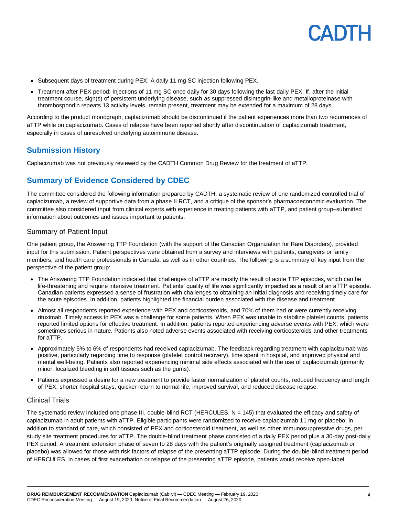

- Subsequent days of treatment during PEX: A daily 11 mg SC injection following PEX.
- Treatment after PEX period: Injections of 11 mg SC once daily for 30 days following the last daily PEX. If, after the initial treatment course, sign(s) of persistent underlying disease, such as suppressed disintegrin-like and metalloproteinase with thrombospondin repeats 13 activity levels, remain present, treatment may be extended for a maximum of 28 days.

According to the product monograph, caplacizumab should be discontinued if the patient experiences more than two recurrences of aTTP while on caplacizumab. Cases of relapse have been reported shortly after discontinuation of caplacizumab treatment, especially in cases of unresolved underlying autoimmune disease.

# **Submission History**

Caplacizumab was not previously reviewed by the CADTH Common Drug Review for the treatment of aTTP.

# **Summary of Evidence Considered by CDEC**

The committee considered the following information prepared by CADTH: a systematic review of one randomized controlled trial of caplacizumab, a review of supportive data from a phase II RCT, and a critique of the sponsor's pharmacoeconomic evaluation. The committee also considered input from clinical experts with experience in treating patients with aTTP, and patient group–submitted information about outcomes and issues important to patients.

### Summary of Patient Input

One patient group, the Answering TTP Foundation (with the support of the Canadian Organization for Rare Disorders), provided input for this submission. Patient perspectives were obtained from a survey and interviews with patients, caregivers or family members, and health care professionals in Canada, as well as in other countries. The following is a summary of key input from the perspective of the patient group:

- The Answering TTP Foundation indicated that challenges of aTTP are mostly the result of acute TTP episodes, which can be life-threatening and require intensive treatment. Patients' quality of life was significantly impacted as a result of an aTTP episode. Canadian patients expressed a sense of frustration with challenges to obtaining an initial diagnosis and receiving timely care for the acute episodes. In addition, patients highlighted the financial burden associated with the disease and treatment.
- Almost all respondents reported experience with PEX and corticosteroids, and 70% of them had or were currently receiving rituximab. Timely access to PEX was a challenge for some patients. When PEX was unable to stabilize platelet counts, patients reported limited options for effective treatment. In addition, patients reported experiencing adverse events with PEX, which were sometimes serious in nature. Patients also noted adverse events associated with receiving corticosteroids and other treatments for aTTP.
- Approximately 5% to 6% of respondents had received caplacizumab. The feedback regarding treatment with caplacizumab was positive, particularly regarding time to response (platelet control recovery), time spent in hospital, and improved physical and mental well-being. Patients also reported experiencing minimal side effects associated with the use of caplacizumab (primarily minor, localized bleeding in soft tissues such as the gums).
- Patients expressed a desire for a new treatment to provide faster normalization of platelet counts, reduced frequency and length of PEX, shorter hospital stays, quicker return to normal life, improved survival, and reduced disease relapse.

### Clinical Trials

The systematic review included one phase III, double-blind RCT (HERCULES,  $N = 145$ ) that evaluated the efficacy and safety of caplacizumab in adult patients with aTTP. Eligible participants were randomized to receive caplacizumab 11 mg or placebo, in addition to standard of care, which consisted of PEX and corticosteroid treatment, as well as other immunosuppressive drugs, per study site treatment procedures for aTTP. The double-blind treatment phase consisted of a daily PEX period plus a 30-day post-daily PEX period. A treatment extension phase of seven to 28 days with the patient's originally assigned treatment (caplacizumab or placebo) was allowed for those with risk factors of relapse of the presenting aTTP episode. During the double-blind treatment period of HERCULES, in cases of first exacerbation or relapse of the presenting aTTP episode, patients would receive open-label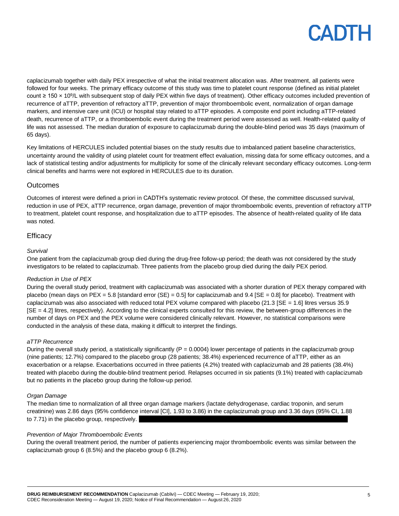

caplacizumab together with daily PEX irrespective of what the initial treatment allocation was. After treatment, all patients were followed for four weeks. The primary efficacy outcome of this study was time to platelet count response (defined as initial platelet count ≥ 150 x 10<sup>9</sup>/L with subsequent stop of daily PEX within five days of treatment). Other efficacy outcomes included prevention of recurrence of aTTP, prevention of refractory aTTP, prevention of major thromboembolic event, normalization of organ damage markers, and intensive care unit (ICU) or hospital stay related to aTTP episodes. A composite end point including aTTP-related death, recurrence of aTTP, or a thromboembolic event during the treatment period were assessed as well. Health-related quality of life was not assessed. The median duration of exposure to caplacizumab during the double-blind period was 35 days (maximum of 65 days).

Key limitations of HERCULES included potential biases on the study results due to imbalanced patient baseline characteristics, uncertainty around the validity of using platelet count for treatment effect evaluation, missing data for some efficacy outcomes, and a lack of statistical testing and/or adjustments for multiplicity for some of the clinically relevant secondary efficacy outcomes. Long-term clinical benefits and harms were not explored in HERCULES due to its duration.

#### **Outcomes**

Outcomes of interest were defined a priori in CADTH's systematic review protocol. Of these, the committee discussed survival, reduction in use of PEX, aTTP recurrence, organ damage, prevention of major thromboembolic events, prevention of refractory aTTP to treatment, platelet count response, and hospitalization due to aTTP episodes. The absence of health-related quality of life data was noted.

#### **Efficacy**

#### *Survival*

One patient from the caplacizumab group died during the drug-free follow-up period; the death was not considered by the study investigators to be related to caplacizumab. Three patients from the placebo group died during the daily PEX period.

#### *Reduction in Use of PEX*

During the overall study period, treatment with caplacizumab was associated with a shorter duration of PEX therapy compared with placebo (mean days on PEX = 5.8 [standard error (SE) = 0.5] for caplacizumab and  $9.4$  [SE = 0.8] for placebo). Treatment with caplacizumab was also associated with reduced total PEX volume compared with placebo (21.3  $SE = 1.6$ ] litres versus 35.9 [SE = 4.2] litres, respectively). According to the clinical experts consulted for this review, the between-group differences in the number of days on PEX and the PEX volume were considered clinically relevant. However, no statistical comparisons were conducted in the analysis of these data, making it difficult to interpret the findings.

#### *aTTP Recurrence*

During the overall study period, a statistically significantly  $(P = 0.0004)$  lower percentage of patients in the caplacizumab group (nine patients; 12.7%) compared to the placebo group (28 patients; 38.4%) experienced recurrence of aTTP, either as an exacerbation or a relapse. Exacerbations occurred in three patients (4.2%) treated with caplacizumab and 28 patients (38.4%) treated with placebo during the double-blind treatment period. Relapses occurred in six patients (9.1%) treated with caplacizumab but no patients in the placebo group during the follow-up period.

#### *Organ Damage*

The median time to normalization of all three organ damage markers (lactate dehydrogenase, cardiac troponin, and serum creatinine) was 2.86 days (95% confidence interval [CI], 1.93 to 3.86) in the caplacizumab group and 3.36 days (95% CI, 1.88 to 7.71) in the placebo group, respectively.

#### *Prevention of Major Thromboembolic Events*

During the overall treatment period, the number of patients experiencing major thromboembolic events was similar between the caplacizumab group 6 (8.5%) and the placebo group 6 (8.2%).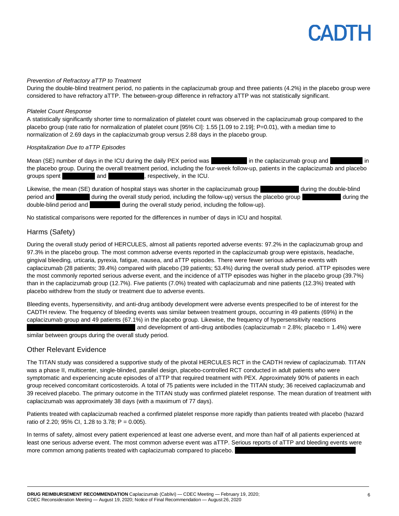# CADTH

#### *Prevention of Refractory aTTP to Treatment*

During the double-blind treatment period, no patients in the caplacizumab group and three patients (4.2%) in the placebo group were considered to have refractory aTTP. The between-group difference in refractory aTTP was not statistically significant.

#### *Platelet Count Response*

A statistically significantly shorter time to normalization of platelet count was observed in the caplacizumab group compared to the placebo group (rate ratio for normalization of platelet count [95% CI]: 1.55 [1.09 to 2.19]; P=0.01), with a median time to normalization of 2.69 days in the caplacizumab group versus 2.88 days in the placebo group.

#### *Hospitalization Due to aTTP Episodes*

Mean (SE) number of days in the ICU during the daily PEX period was in the caplacizumab group and in the placebo group. During the overall treatment period, including the four-week follow-up, patients in the caplacizumab and placebo groups spent **and** and **and** , respectively, in the ICU.

Likewise, the mean (SE) duration of hospital stays was shorter in the caplacizumab group during the double-blind period and during the overall study period, including the follow-up) versus the placebo group during the during the double-blind period and during the overall study period, including the follow-up).

No statistical comparisons were reported for the differences in number of days in ICU and hospital.

#### Harms (Safety)

During the overall study period of HERCULES, almost all patients reported adverse events: 97.2% in the caplacizumab group and 97.3% in the placebo group. The most common adverse events reported in the caplacizumab group were epistaxis, headache, gingival bleeding, urticaria, pyrexia, fatigue, nausea, and aTTP episodes. There were fewer serious adverse events with caplacizumab (28 patients; 39.4%) compared with placebo (39 patients; 53.4%) during the overall study period. aTTP episodes were the most commonly reported serious adverse event, and the incidence of aTTP episodes was higher in the placebo group (39.7%) than in the caplacizumab group (12.7%). Five patients (7.0%) treated with caplacizumab and nine patients (12.3%) treated with placebo withdrew from the study or treatment due to adverse events.

Bleeding events, hypersensitivity, and anti-drug antibody development were adverse events prespecified to be of interest for the CADTH review. The frequency of bleeding events was similar between treatment groups, occurring in 49 patients (69%) in the caplacizumab group and 49 patients (67.1%) in the placebo group. Likewise, the frequency of hypersensitivity reactions and development of anti-drug antibodies (caplacizumab =  $2.8\%$ ; placebo =  $1.4\%$ ) were

similar between groups during the overall study period.

#### Other Relevant Evidence

The TITAN study was considered a supportive study of the pivotal HERCULES RCT in the CADTH review of caplacizumab. TITAN was a phase II, multicenter, single-blinded, parallel design, placebo-controlled RCT conducted in adult patients who were symptomatic and experiencing acute episodes of aTTP that required treatment with PEX. Approximately 90% of patients in each group received concomitant corticosteroids. A total of 75 patients were included in the TITAN study; 36 received caplacizumab and 39 received placebo. The primary outcome in the TITAN study was confirmed platelet response. The mean duration of treatment with caplacizumab was approximately 38 days (with a maximum of 77 days).

Patients treated with caplacizumab reached a confirmed platelet response more rapidly than patients treated with placebo (hazard ratio of 2.20; 95% CI, 1.28 to 3.78;  $P = 0.005$ ).

In terms of safety, almost every patient experienced at least one adverse event, and more than half of all patients experienced at least one serious adverse event. The most common adverse event was aTTP. Serious reports of aTTP and bleeding events were more common among patients treated with caplacizumab compared to placebo.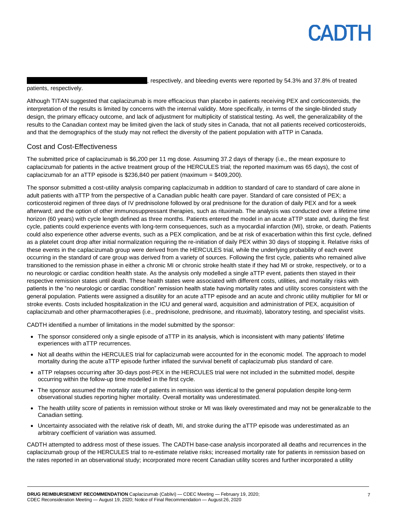# **CADTH**

, respectively, and bleeding events were reported by 54.3% and 37.8% of treated

patients, respectively.

Although TITAN suggested that caplacizumab is more efficacious than placebo in patients receiving PEX and corticosteroids, the interpretation of the results is limited by concerns with the internal validity. More specifically, in terms of the single-blinded study design, the primary efficacy outcome, and lack of adjustment for multiplicity of statistical testing. As well, the generalizability of the results to the Canadian context may be limited given the lack of study sites in Canada, that not all patients received corticosteroids, and that the demographics of the study may not reflect the diversity of the patient population with aTTP in Canada.

### Cost and Cost-Effectiveness

The submitted price of caplacizumab is \$6,200 per 11 mg dose. Assuming 37.2 days of therapy (i.e., the mean exposure to caplacizumab for patients in the active treatment group of the HERCULES trial; the reported maximum was 65 days), the cost of caplacizumab for an aTTP episode is \$236,840 per patient (maximum = \$409,200).

The sponsor submitted a cost-utility analysis comparing caplacizumab in addition to standard of care to standard of care alone in adult patients with aTTP from the perspective of a Canadian public health care payer. Standard of care consisted of PEX; a corticosteroid regimen of three days of IV prednisolone followed by oral prednisone for the duration of daily PEX and for a week afterward; and the option of other immunosuppressant therapies, such as rituximab. The analysis was conducted over a lifetime time horizon (60 years) with cycle length defined as three months. Patients entered the model in an acute aTTP state and, during the first cycle, patients could experience events with long-term consequences, such as a myocardial infarction (MI), stroke, or death. Patients could also experience other adverse events, such as a PEX complication, and be at risk of exacerbation within this first cycle, defined as a platelet count drop after initial normalization requiring the re-initiation of daily PEX within 30 days of stopping it. Relative risks of these events in the caplacizumab group were derived from the HERCULES trial, while the underlying probability of each event occurring in the standard of care group was derived from a variety of sources. Following the first cycle, patients who remained alive transitioned to the remission phase in either a chronic MI or chronic stroke health state if they had MI or stroke, respectively, or to a no neurologic or cardiac condition health state. As the analysis only modelled a single aTTP event, patients then stayed in their respective remission states until death. These health states were associated with different costs, utilities, and mortality risks with patients in the "no neurologic or cardiac condition" remission health state having mortality rates and utility scores consistent with the general population. Patients were assigned a disutility for an acute aTTP episode and an acute and chronic utility multiplier for MI or stroke events. Costs included hospitalization in the ICU and general ward, acquisition and administration of PEX, acquisition of caplacizumab and other pharmacotherapies (i.e., prednisolone, prednisone, and rituximab), laboratory testing, and specialist visits.

CADTH identified a number of limitations in the model submitted by the sponsor:

- The sponsor considered only a single episode of aTTP in its analysis, which is inconsistent with many patients' lifetime experiences with aTTP recurrences.
- Not all deaths within the HERCULES trial for caplacizumab were accounted for in the economic model. The approach to model mortality during the acute aTTP episode further inflated the survival benefit of caplacizumab plus standard of care.
- aTTP relapses occurring after 30-days post-PEX in the HERCULES trial were not included in the submitted model, despite occurring within the follow-up time modelled in the first cycle.
- The sponsor assumed the mortality rate of patients in remission was identical to the general population despite long-term observational studies reporting higher mortality. Overall mortality was underestimated.
- The health utility score of patients in remission without stroke or MI was likely overestimated and may not be generalizable to the Canadian setting.
- Uncertainty associated with the relative risk of death, MI, and stroke during the aTTP episode was underestimated as an arbitrary coefficient of variation was assumed.

CADTH attempted to address most of these issues. The CADTH base-case analysis incorporated all deaths and recurrences in the caplacizumab group of the HERCULES trial to re-estimate relative risks; increased mortality rate for patients in remission based on the rates reported in an observational study; incorporated more recent Canadian utility scores and further incorporated a utility